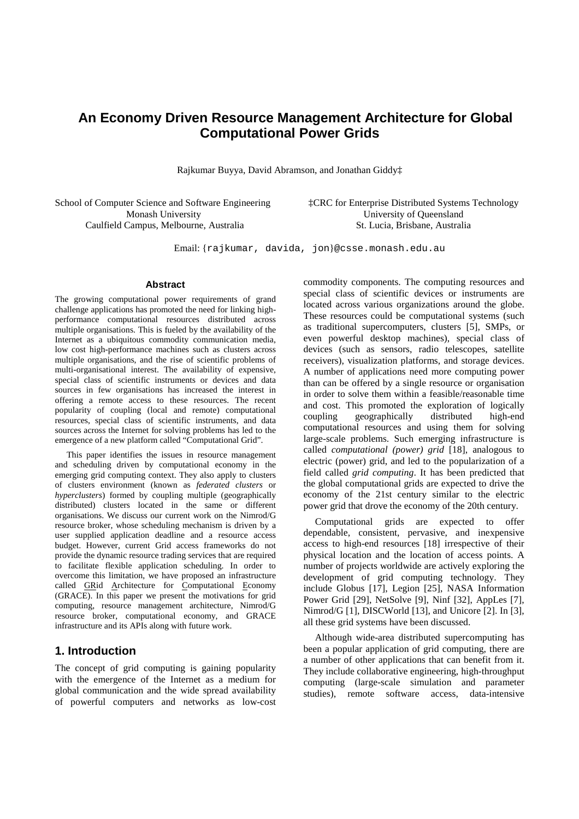# **An Economy Driven Resource Management Architecture for Global Computational Power Grids**

Rajkumar Buyya, David Abramson, and Jonathan Giddy‡

School of Computer Science and Software Engineering Monash University Caulfield Campus, Melbourne, Australia

‡CRC for Enterprise Distributed Systems Technology University of Queensland St. Lucia, Brisbane, Australia

Email: {rajkumar, davida, jon}@csse.monash.edu.au

#### **Abstract**

The growing computational power requirements of grand challenge applications has promoted the need for linking highperformance computational resources distributed across multiple organisations. This is fueled by the availability of the Internet as a ubiquitous commodity communication media, low cost high-performance machines such as clusters across multiple organisations, and the rise of scientific problems of multi-organisational interest. The availability of expensive, special class of scientific instruments or devices and data sources in few organisations has increased the interest in offering a remote access to these resources. The recent popularity of coupling (local and remote) computational resources, special class of scientific instruments, and data sources across the Internet for solving problems has led to the emergence of a new platform called "Computational Grid".

This paper identifies the issues in resource management and scheduling driven by computational economy in the emerging grid computing context. They also apply to clusters of clusters environment (known as *federated clusters* or *hyperclusters*) formed by coupling multiple (geographically distributed) clusters located in the same or different organisations. We discuss our current work on the Nimrod/G resource broker, whose scheduling mechanism is driven by a user supplied application deadline and a resource access budget. However, current Grid access frameworks do not provide the dynamic resource trading services that are required to facilitate flexible application scheduling. In order to overcome this limitation, we have proposed an infrastructure called GRid Architecture for Computational Economy (GRACE). In this paper we present the motivations for grid computing, resource management architecture, Nimrod/G resource broker, computational economy, and GRACE infrastructure and its APIs along with future work.

### **1. Introduction**

The concept of grid computing is gaining popularity with the emergence of the Internet as a medium for global communication and the wide spread availability of powerful computers and networks as low-cost commodity components. The computing resources and special class of scientific devices or instruments are located across various organizations around the globe. These resources could be computational systems (such as traditional supercomputers, clusters [5], SMPs, or even powerful desktop machines), special class of devices (such as sensors, radio telescopes, satellite receivers), visualization platforms, and storage devices. A number of applications need more computing power than can be offered by a single resource or organisation in order to solve them within a feasible/reasonable time and cost. This promoted the exploration of logically<br>coupling geographically distributed high-end coupling geographically distributed high-end computational resources and using them for solving large-scale problems. Such emerging infrastructure is called *computational (power) grid* [18], analogous to electric (power) grid, and led to the popularization of a field called *grid computing*. It has been predicted that the global computational grids are expected to drive the economy of the 21st century similar to the electric power grid that drove the economy of the 20th century.

Computational grids are expected to offer dependable, consistent, pervasive, and inexpensive access to high-end resources [18] irrespective of their physical location and the location of access points. A number of projects worldwide are actively exploring the development of grid computing technology. They include Globus [17], Legion [25], NASA Information Power Grid [29], NetSolve [9], Ninf [32], AppLes [7], Nimrod/G [1], DISCWorld [13], and Unicore [2]. In [3], all these grid systems have been discussed.

Although wide-area distributed supercomputing has been a popular application of grid computing, there are a number of other applications that can benefit from it. They include collaborative engineering, high-throughput computing (large-scale simulation and parameter studies), remote software access, data-intensive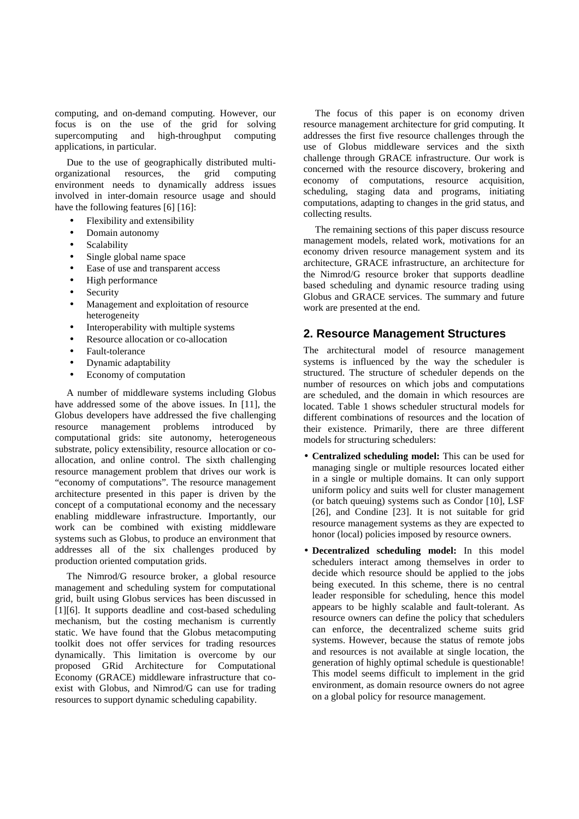computing, and on-demand computing. However, our focus is on the use of the grid for solving supercomputing and high-throughput computing applications, in particular.

Due to the use of geographically distributed multiorganizational resources, the grid computing environment needs to dynamically address issues involved in inter-domain resource usage and should have the following features [6] [16]:

- Flexibility and extensibility
- Domain autonomy
- **Scalability**
- Single global name space
- Ease of use and transparent access
- High performance
- **Security**
- Management and exploitation of resource heterogeneity
- Interoperability with multiple systems
- Resource allocation or co-allocation
- Fault-tolerance
- Dynamic adaptability
- Economy of computation

A number of middleware systems including Globus have addressed some of the above issues. In [11], the Globus developers have addressed the five challenging resource management problems introduced by computational grids: site autonomy, heterogeneous substrate, policy extensibility, resource allocation or coallocation, and online control. The sixth challenging resource management problem that drives our work is "economy of computations". The resource management architecture presented in this paper is driven by the concept of a computational economy and the necessary enabling middleware infrastructure. Importantly, our work can be combined with existing middleware systems such as Globus, to produce an environment that addresses all of the six challenges produced by production oriented computation grids.

The Nimrod/G resource broker, a global resource management and scheduling system for computational grid, built using Globus services has been discussed in [1][6]. It supports deadline and cost-based scheduling mechanism, but the costing mechanism is currently static. We have found that the Globus metacomputing toolkit does not offer services for trading resources dynamically. This limitation is overcome by our proposed GRid Architecture for Computational Economy (GRACE) middleware infrastructure that coexist with Globus, and Nimrod/G can use for trading resources to support dynamic scheduling capability.

The focus of this paper is on economy driven resource management architecture for grid computing. It addresses the first five resource challenges through the use of Globus middleware services and the sixth challenge through GRACE infrastructure. Our work is concerned with the resource discovery, brokering and economy of computations, resource acquisition, scheduling, staging data and programs, initiating computations, adapting to changes in the grid status, and collecting results.

The remaining sections of this paper discuss resource management models, related work, motivations for an economy driven resource management system and its architecture, GRACE infrastructure, an architecture for the Nimrod/G resource broker that supports deadline based scheduling and dynamic resource trading using Globus and GRACE services. The summary and future work are presented at the end.

#### **2. Resource Management Structures**

The architectural model of resource management systems is influenced by the way the scheduler is structured. The structure of scheduler depends on the number of resources on which jobs and computations are scheduled, and the domain in which resources are located. Table 1 shows scheduler structural models for different combinations of resources and the location of their existence. Primarily, there are three different models for structuring schedulers:

- **Centralized scheduling model:** This can be used for managing single or multiple resources located either in a single or multiple domains. It can only support uniform policy and suits well for cluster management (or batch queuing) systems such as Condor [10], LSF [26], and Condine [23]. It is not suitable for grid resource management systems as they are expected to honor (local) policies imposed by resource owners.
- **Decentralized scheduling model:** In this model schedulers interact among themselves in order to decide which resource should be applied to the jobs being executed. In this scheme, there is no central leader responsible for scheduling, hence this model appears to be highly scalable and fault-tolerant. As resource owners can define the policy that schedulers can enforce, the decentralized scheme suits grid systems. However, because the status of remote jobs and resources is not available at single location, the generation of highly optimal schedule is questionable! This model seems difficult to implement in the grid environment, as domain resource owners do not agree on a global policy for resource management.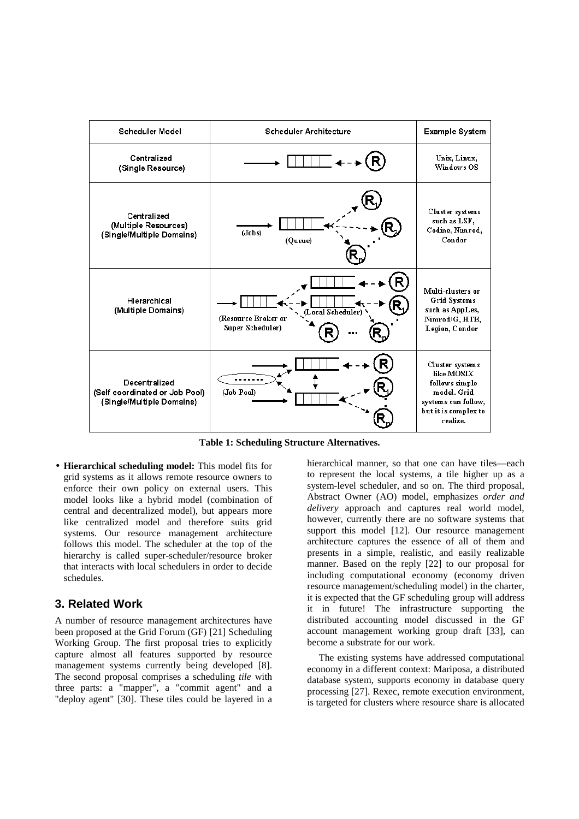

**Table 1: Scheduling Structure Alternatives.**

• **Hierarchical scheduling model:** This model fits for grid systems as it allows remote resource owners to enforce their own policy on external users. This model looks like a hybrid model (combination of central and decentralized model), but appears more like centralized model and therefore suits grid systems. Our resource management architecture follows this model. The scheduler at the top of the hierarchy is called super-scheduler/resource broker that interacts with local schedulers in order to decide schedules.

## **3. Related Work**

A number of resource management architectures have been proposed at the Grid Forum (GF) [21] Scheduling Working Group. The first proposal tries to explicitly capture almost all features supported by resource management systems currently being developed [8]. The second proposal comprises a scheduling *tile* with three parts: a "mapper", a "commit agent" and a "deploy agent" [30]. These tiles could be layered in a hierarchical manner, so that one can have tiles—each to represent the local systems, a tile higher up as a system-level scheduler, and so on. The third proposal, Abstract Owner (AO) model, emphasizes *order and delivery* approach and captures real world model, however, currently there are no software systems that support this model [12]. Our resource management architecture captures the essence of all of them and presents in a simple, realistic, and easily realizable manner. Based on the reply [22] to our proposal for including computational economy (economy driven resource management/scheduling model) in the charter, it is expected that the GF scheduling group will address it in future! The infrastructure supporting the distributed accounting model discussed in the GF account management working group draft [33], can become a substrate for our work.

The existing systems have addressed computational economy in a different context: Mariposa, a distributed database system, supports economy in database query processing [27]. Rexec, remote execution environment, is targeted for clusters where resource share is allocated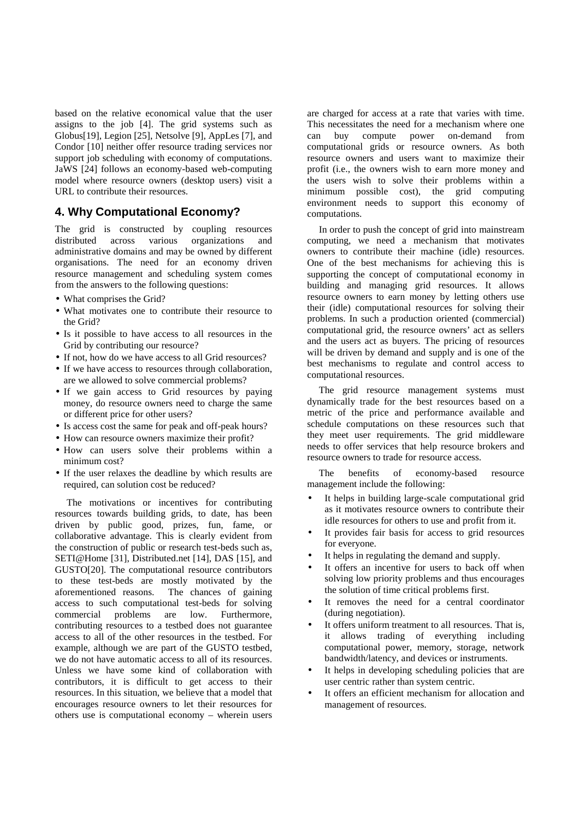based on the relative economical value that the user assigns to the job [4]. The grid systems such as Globus[19], Legion [25], Netsolve [9], AppLes [7], and Condor [10] neither offer resource trading services nor support job scheduling with economy of computations. JaWS [24] follows an economy-based web-computing model where resource owners (desktop users) visit a URL to contribute their resources.

# **4. Why Computational Economy?**

The grid is constructed by coupling resources distributed across various organizations and administrative domains and may be owned by different organisations. The need for an economy driven resource management and scheduling system comes from the answers to the following questions:

- What comprises the Grid?
- What motivates one to contribute their resource to the Grid?
- Is it possible to have access to all resources in the Grid by contributing our resource?
- If not, how do we have access to all Grid resources?
- If we have access to resources through collaboration. are we allowed to solve commercial problems?
- If we gain access to Grid resources by paying money, do resource owners need to charge the same or different price for other users?
- Is access cost the same for peak and off-peak hours?
- How can resource owners maximize their profit?
- How can users solve their problems within a minimum cost?
- If the user relaxes the deadline by which results are required, can solution cost be reduced?

The motivations or incentives for contributing resources towards building grids, to date, has been driven by public good, prizes, fun, fame, or collaborative advantage. This is clearly evident from the construction of public or research test-beds such as, SETI@Home [31], Distributed.net [14], DAS [15], and GUSTO[20]. The computational resource contributors to these test-beds are mostly motivated by the aforementioned reasons. The chances of gaining access to such computational test-beds for solving commercial problems are low. Furthermore, contributing resources to a testbed does not guarantee access to all of the other resources in the testbed. For example, although we are part of the GUSTO testbed, we do not have automatic access to all of its resources. Unless we have some kind of collaboration with contributors, it is difficult to get access to their resources. In this situation, we believe that a model that encourages resource owners to let their resources for others use is computational economy – wherein users

are charged for access at a rate that varies with time. This necessitates the need for a mechanism where one can buy compute power on-demand from computational grids or resource owners. As both resource owners and users want to maximize their profit (i.e., the owners wish to earn more money and the users wish to solve their problems within a minimum possible cost), the grid computing environment needs to support this economy of computations.

In order to push the concept of grid into mainstream computing, we need a mechanism that motivates owners to contribute their machine (idle) resources. One of the best mechanisms for achieving this is supporting the concept of computational economy in building and managing grid resources. It allows resource owners to earn money by letting others use their (idle) computational resources for solving their problems. In such a production oriented (commercial) computational grid, the resource owners' act as sellers and the users act as buyers. The pricing of resources will be driven by demand and supply and is one of the best mechanisms to regulate and control access to computational resources.

The grid resource management systems must dynamically trade for the best resources based on a metric of the price and performance available and schedule computations on these resources such that they meet user requirements. The grid middleware needs to offer services that help resource brokers and resource owners to trade for resource access.

The benefits of economy-based resource management include the following:

- It helps in building large-scale computational grid as it motivates resource owners to contribute their idle resources for others to use and profit from it.
- It provides fair basis for access to grid resources for everyone.
- It helps in regulating the demand and supply.
- It offers an incentive for users to back off when solving low priority problems and thus encourages the solution of time critical problems first.
- It removes the need for a central coordinator (during negotiation).
- It offers uniform treatment to all resources. That is, it allows trading of everything including computational power, memory, storage, network bandwidth/latency, and devices or instruments.
- It helps in developing scheduling policies that are user centric rather than system centric.
- It offers an efficient mechanism for allocation and management of resources.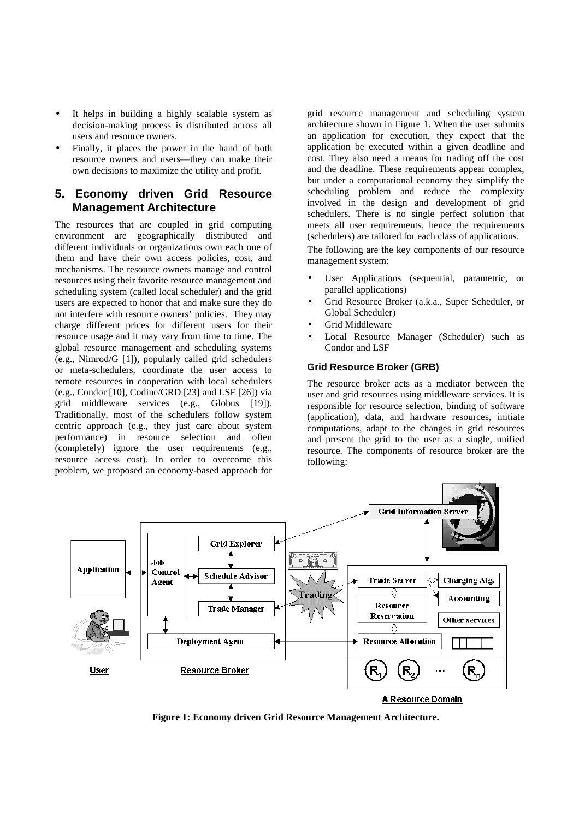- It helps in building a highly scalable system as decision-making process is distributed across all users and resource owners.
- Finally, it places the power in the hand of both resource owners and users—they can make their own decisions to maximize the utility and profit.

# **5. Economy driven Grid Resource Management Architecture**

The resources that are coupled in grid computing environment are geographically distributed and different individuals or organizations own each one of them and have their own access policies, cost, and mechanisms. The resource owners manage and control resources using their favorite resource management and scheduling system (called local scheduler) and the grid users are expected to honor that and make sure they do not interfere with resource owners' policies. They may charge different prices for different users for their resource usage and it may vary from time to time. The global resource management and scheduling systems (e.g., Nimrod/G [1]), popularly called grid schedulers or meta-schedulers, coordinate the user access to remote resources in cooperation with local schedulers (e.g., Condor [10], Codine/GRD [23] and LSF [26]) via grid middleware services (e.g., Globus [19]). Traditionally, most of the schedulers follow system centric approach (e.g., they just care about system performance) in resource selection and often (completely) ignore the user requirements (e.g., resource access cost). In order to overcome this problem, we proposed an economy-based approach for grid resource management and scheduling system architecture shown in Figure 1. When the user submits an application for execution, they expect that the application be executed within a given deadline and cost. They also need a means for trading off the cost and the deadline. These requirements appear complex, but under a computational economy they simplify the scheduling problem and reduce the complexity involved in the design and development of grid schedulers. There is no single perfect solution that meets all user requirements, hence the requirements (schedulers) are tailored for each class of applications.

The following are the key components of our resource management system:

- User Applications (sequential, parametric, or parallel applications)
- Grid Resource Broker (a.k.a., Super Scheduler, or Global Scheduler)
- Grid Middleware
- Local Resource Manager (Scheduler) such as Condor and LSF

#### **Grid Resource Broker (GRB)**

The resource broker acts as a mediator between the user and grid resources using middleware services. It is responsible for resource selection, binding of software (application), data, and hardware resources, initiate computations, adapt to the changes in grid resources and present the grid to the user as a single, unified resource. The components of resource broker are the following:



**Figure 1: Economy driven Grid Resource Management Architecture.**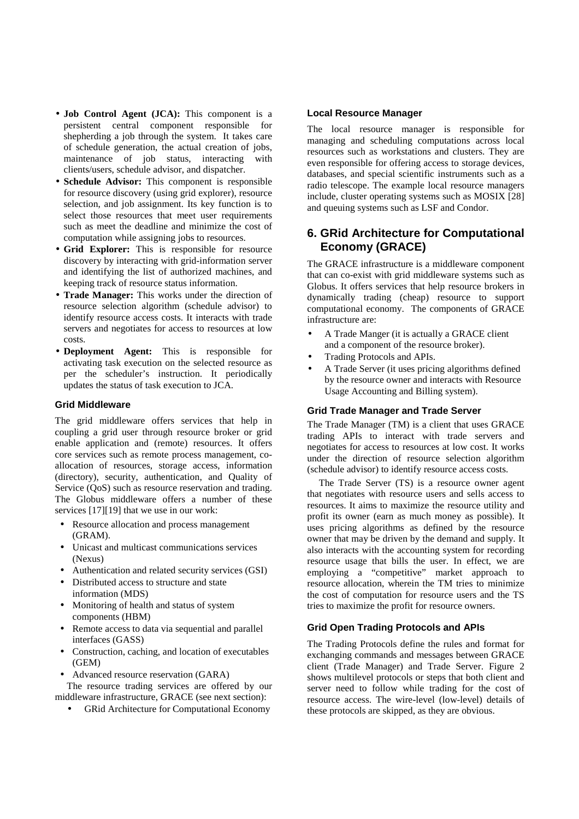- **Job Control Agent (JCA):** This component is a persistent central component responsible for shepherding a job through the system. It takes care of schedule generation, the actual creation of jobs, maintenance of job status, interacting with clients/users, schedule advisor, and dispatcher.
- **Schedule Advisor:** This component is responsible for resource discovery (using grid explorer), resource selection, and job assignment. Its key function is to select those resources that meet user requirements such as meet the deadline and minimize the cost of computation while assigning jobs to resources.
- **Grid Explorer:** This is responsible for resource discovery by interacting with grid-information server and identifying the list of authorized machines, and keeping track of resource status information.
- **Trade Manager:** This works under the direction of resource selection algorithm (schedule advisor) to identify resource access costs. It interacts with trade servers and negotiates for access to resources at low costs.
- **Deployment Agent:** This is responsible for activating task execution on the selected resource as per the scheduler's instruction. It periodically updates the status of task execution to JCA.

#### **Grid Middleware**

The grid middleware offers services that help in coupling a grid user through resource broker or grid enable application and (remote) resources. It offers core services such as remote process management, coallocation of resources, storage access, information (directory), security, authentication, and Quality of Service (QoS) such as resource reservation and trading. The Globus middleware offers a number of these services [17][19] that we use in our work:

- Resource allocation and process management (GRAM).
- Unicast and multicast communications services (Nexus)
- Authentication and related security services (GSI)
- Distributed access to structure and state information (MDS)
- Monitoring of health and status of system components (HBM)
- Remote access to data via sequential and parallel interfaces (GASS)
- Construction, caching, and location of executables (GEM)
- Advanced resource reservation (GARA)

The resource trading services are offered by our middleware infrastructure, GRACE (see next section):

• GRid Architecture for Computational Economy

#### **Local Resource Manager**

The local resource manager is responsible for managing and scheduling computations across local resources such as workstations and clusters. They are even responsible for offering access to storage devices, databases, and special scientific instruments such as a radio telescope. The example local resource managers include, cluster operating systems such as MOSIX [28] and queuing systems such as LSF and Condor.

# **6. GRid Architecture for Computational Economy (GRACE)**

The GRACE infrastructure is a middleware component that can co-exist with grid middleware systems such as Globus. It offers services that help resource brokers in dynamically trading (cheap) resource to support computational economy. The components of GRACE infrastructure are:

- A Trade Manger (it is actually a GRACE client and a component of the resource broker).
- Trading Protocols and APIs.
- A Trade Server (it uses pricing algorithms defined by the resource owner and interacts with Resource Usage Accounting and Billing system).

#### **Grid Trade Manager and Trade Server**

The Trade Manager (TM) is a client that uses GRACE trading APIs to interact with trade servers and negotiates for access to resources at low cost. It works under the direction of resource selection algorithm (schedule advisor) to identify resource access costs.

The Trade Server (TS) is a resource owner agent that negotiates with resource users and sells access to resources. It aims to maximize the resource utility and profit its owner (earn as much money as possible). It uses pricing algorithms as defined by the resource owner that may be driven by the demand and supply. It also interacts with the accounting system for recording resource usage that bills the user. In effect, we are employing a "competitive" market approach to resource allocation, wherein the TM tries to minimize the cost of computation for resource users and the TS tries to maximize the profit for resource owners.

#### **Grid Open Trading Protocols and APIs**

The Trading Protocols define the rules and format for exchanging commands and messages between GRACE client (Trade Manager) and Trade Server. Figure 2 shows multilevel protocols or steps that both client and server need to follow while trading for the cost of resource access. The wire-level (low-level) details of these protocols are skipped, as they are obvious.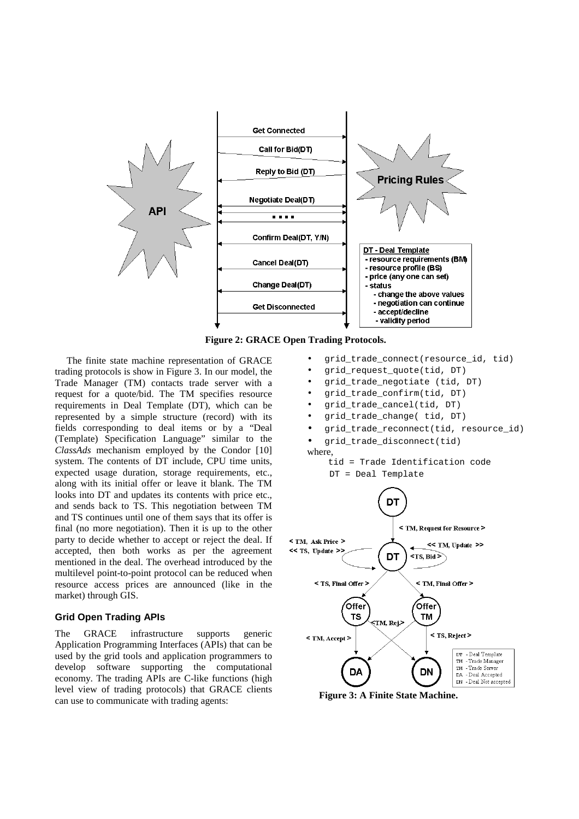

**Figure 2: GRACE Open Trading Protocols.**

The finite state machine representation of GRACE trading protocols is show in Figure 3. In our model, the Trade Manager (TM) contacts trade server with a request for a quote/bid. The TM specifies resource requirements in Deal Template (DT), which can be represented by a simple structure (record) with its fields corresponding to deal items or by a "Deal (Template) Specification Language" similar to the *ClassAds* mechanism employed by the Condor [10] system. The contents of DT include, CPU time units, expected usage duration, storage requirements, etc., along with its initial offer or leave it blank. The TM looks into DT and updates its contents with price etc., and sends back to TS. This negotiation between TM and TS continues until one of them says that its offer is final (no more negotiation). Then it is up to the other party to decide whether to accept or reject the deal. If accepted, then both works as per the agreement mentioned in the deal. The overhead introduced by the multilevel point-to-point protocol can be reduced when resource access prices are announced (like in the market) through GIS.

#### **Grid Open Trading APIs**

The GRACE infrastructure supports generic Application Programming Interfaces (APIs) that can be used by the grid tools and application programmers to develop software supporting the computational economy. The trading APIs are C-like functions (high level view of trading protocols) that GRACE clients can use to communicate with trading agents:

- grid\_trade\_connect(resource\_id, tid)
- grid\_request\_quote(tid, DT)
- grid\_trade\_negotiate (tid, DT)
- grid\_trade\_confirm(tid, DT)
- grid\_trade\_cancel(tid, DT)
- grid\_trade\_change( tid, DT)
- grid\_trade\_reconnect(tid, resource\_id)
- grid\_trade\_disconnect(tid)

where,

tid = Trade Identification code DT = Deal Template



**Figure 3: A Finite State Machine.**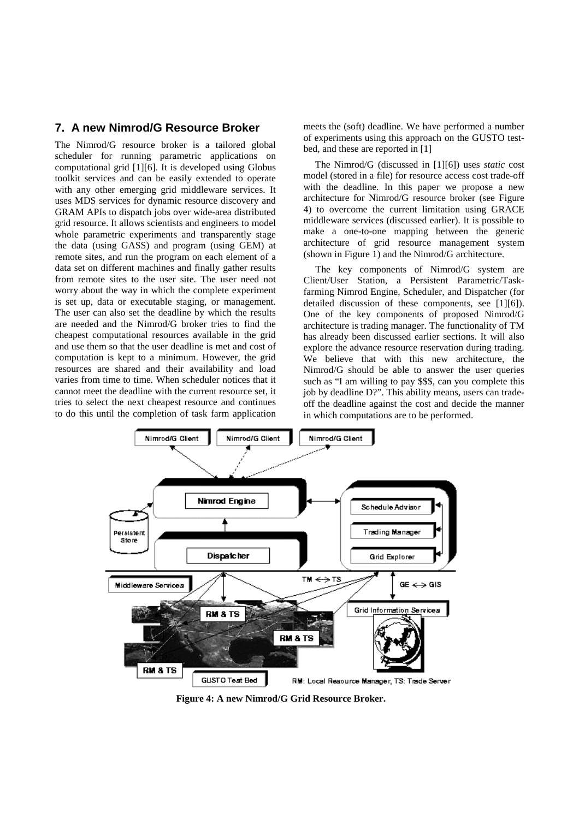## **7. A new Nimrod/G Resource Broker**

The Nimrod/G resource broker is a tailored global scheduler for running parametric applications on computational grid [1][6]. It is developed using Globus toolkit services and can be easily extended to operate with any other emerging grid middleware services. It uses MDS services for dynamic resource discovery and GRAM APIs to dispatch jobs over wide-area distributed grid resource. It allows scientists and engineers to model whole parametric experiments and transparently stage the data (using GASS) and program (using GEM) at remote sites, and run the program on each element of a data set on different machines and finally gather results from remote sites to the user site. The user need not worry about the way in which the complete experiment is set up, data or executable staging, or management. The user can also set the deadline by which the results are needed and the Nimrod/G broker tries to find the cheapest computational resources available in the grid and use them so that the user deadline is met and cost of computation is kept to a minimum. However, the grid resources are shared and their availability and load varies from time to time. When scheduler notices that it cannot meet the deadline with the current resource set, it tries to select the next cheapest resource and continues to do this until the completion of task farm application meets the (soft) deadline. We have performed a number of experiments using this approach on the GUSTO testbed, and these are reported in [1]

The Nimrod/G (discussed in [1][6]) uses *static* cost model (stored in a file) for resource access cost trade-off with the deadline. In this paper we propose a new architecture for Nimrod/G resource broker (see Figure 4) to overcome the current limitation using GRACE middleware services (discussed earlier). It is possible to make a one-to-one mapping between the generic architecture of grid resource management system (shown in Figure 1) and the Nimrod/G architecture.

The key components of Nimrod/G system are Client/User Station, a Persistent Parametric/Taskfarming Nimrod Engine, Scheduler, and Dispatcher (for detailed discussion of these components, see [1][6]). One of the key components of proposed Nimrod/G architecture is trading manager. The functionality of TM has already been discussed earlier sections. It will also explore the advance resource reservation during trading. We believe that with this new architecture, the Nimrod/G should be able to answer the user queries such as "I am willing to pay \$\$\$, can you complete this job by deadline D?". This ability means, users can tradeoff the deadline against the cost and decide the manner in which computations are to be performed.



**Figure 4: A new Nimrod/G Grid Resource Broker.**